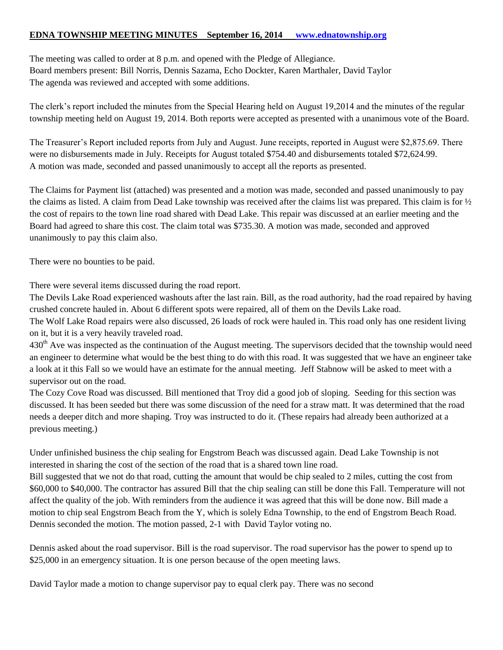## **EDNA TOWNSHIP MEETING MINUTES September 16, 2014 [www.ednatownship.org](http://www.ednatownship.org/)**

The meeting was called to order at 8 p.m. and opened with the Pledge of Allegiance. Board members present: Bill Norris, Dennis Sazama, Echo Dockter, Karen Marthaler, David Taylor The agenda was reviewed and accepted with some additions.

The clerk's report included the minutes from the Special Hearing held on August 19,2014 and the minutes of the regular township meeting held on August 19, 2014. Both reports were accepted as presented with a unanimous vote of the Board.

The Treasurer's Report included reports from July and August. June receipts, reported in August were \$2,875.69. There were no disbursements made in July. Receipts for August totaled \$754.40 and disbursements totaled \$72,624.99. A motion was made, seconded and passed unanimously to accept all the reports as presented.

The Claims for Payment list (attached) was presented and a motion was made, seconded and passed unanimously to pay the claims as listed. A claim from Dead Lake township was received after the claims list was prepared. This claim is for  $\frac{1}{2}$ the cost of repairs to the town line road shared with Dead Lake. This repair was discussed at an earlier meeting and the Board had agreed to share this cost. The claim total was \$735.30. A motion was made, seconded and approved unanimously to pay this claim also.

There were no bounties to be paid.

There were several items discussed during the road report.

The Devils Lake Road experienced washouts after the last rain. Bill, as the road authority, had the road repaired by having crushed concrete hauled in. About 6 different spots were repaired, all of them on the Devils Lake road.

The Wolf Lake Road repairs were also discussed, 26 loads of rock were hauled in. This road only has one resident living on it, but it is a very heavily traveled road.

 $430<sup>th</sup>$  Ave was inspected as the continuation of the August meeting. The supervisors decided that the township would need an engineer to determine what would be the best thing to do with this road. It was suggested that we have an engineer take a look at it this Fall so we would have an estimate for the annual meeting. Jeff Stabnow will be asked to meet with a supervisor out on the road.

The Cozy Cove Road was discussed. Bill mentioned that Troy did a good job of sloping. Seeding for this section was discussed. It has been seeded but there was some discussion of the need for a straw matt. It was determined that the road needs a deeper ditch and more shaping. Troy was instructed to do it. (These repairs had already been authorized at a previous meeting.)

Under unfinished business the chip sealing for Engstrom Beach was discussed again. Dead Lake Township is not interested in sharing the cost of the section of the road that is a shared town line road.

Bill suggested that we not do that road, cutting the amount that would be chip sealed to 2 miles, cutting the cost from \$60,000 to \$40,000. The contractor has assured Bill that the chip sealing can still be done this Fall. Temperature will not affect the quality of the job. With reminders from the audience it was agreed that this will be done now. Bill made a motion to chip seal Engstrom Beach from the Y, which is solely Edna Township, to the end of Engstrom Beach Road. Dennis seconded the motion. The motion passed, 2-1 with David Taylor voting no.

Dennis asked about the road supervisor. Bill is the road supervisor. The road supervisor has the power to spend up to \$25,000 in an emergency situation. It is one person because of the open meeting laws.

David Taylor made a motion to change supervisor pay to equal clerk pay. There was no second